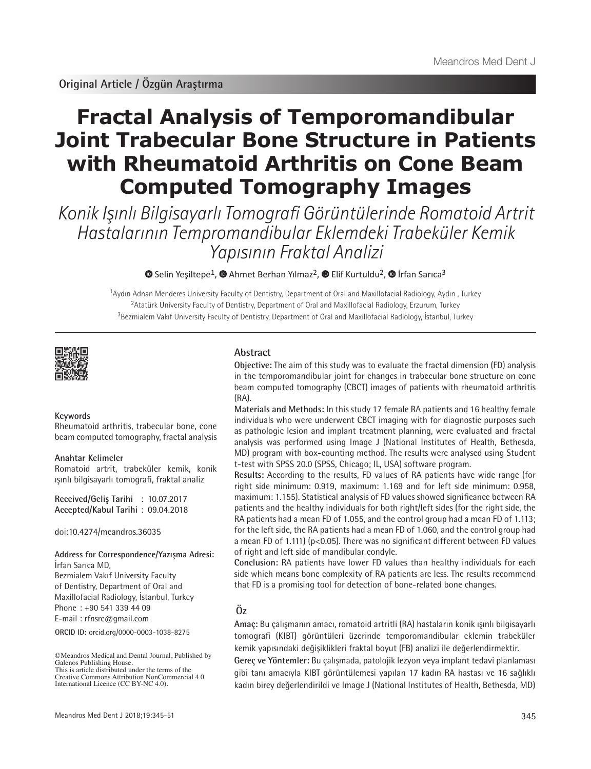# **Fractal Analysis of Temporomandibular Joint Trabecular Bone Structure in Patients with Rheumatoid Arthritis on Cone Beam Computed Tomography Images**

Konik Işınlı Bilgisayarlı Tomografi Görüntülerinde Romatoid Artrit Hastalarının Tempromandibular Eklemdeki Trabeküler Kemik Yapısının Fraktal Analizi

 $\bullet$ Selin Yesiltepe<sup>1</sup>,  $\bullet$  Ahmet Berhan Yılmaz<sup>2</sup>,  $\bullet$  Elif Kurtuldu<sup>2</sup>,  $\bullet$  Irfan Sarıca<sup>3</sup>

<sup>1</sup>Aydın Adnan Menderes University Faculty of Dentistry, Department of Oral and Maxillofacial Radiology, Aydın , Turkey <sup>2</sup>Atatürk University Faculty of Dentistry, Department of Oral and Maxillofacial Radiology, Erzurum, Turkey <sup>3</sup>Bezmialem Vakıf University Faculty of Dentistry, Department of Oral and Maxillofacial Radiology, İstanbul, Turkey

**Abstract**

(RA).



#### **Keywords**

Rheumatoid arthritis, trabecular bone, cone beam computed tomography, fractal analysis

#### **Anahtar Kelimeler**

Romatoid artrit, trabeküler kemik, konik ışınlı bilgisayarlı tomografi, fraktal analiz

**Received/Geliş Tarihi** : 10.07.2017 **Accepted/Kabul Tarihi** : 09.04.2018

doi:10.4274/meandros.36035

#### **Address for Correspondence/Yazışma Adresi:** İrfan Sarıca MD,

Bezmialem Vakıf University Faculty of Dentistry, Department of Oral and Maxillofacial Radiology, İstanbul, Turkey Phone : +90 541 339 44 09 E-mail : rfnsrc@gmail.com

**ORCID ID:** orcid.org/0000-0003-1038-8275

©Meandros Medical and Dental Journal, Published by Galenos Publishing House. This is article distributed under the terms of the

as pathologic lesion and implant treatment planning, were evaluated and fractal analysis was performed using Image J (National Institutes of Health, Bethesda, MD) program with box-counting method. The results were analysed using Student t-test with SPSS 20.0 (SPSS, Chicago; IL, USA) software program. **Results:** According to the results, FD values of RA patients have wide range (for right side minimum: 0.919, maximum: 1.169 and for left side minimum: 0.958, maximum: 1.155). Statistical analysis of FD values showed significance between RA

patients and the healthy individuals for both right/left sides (for the right side, the RA patients had a mean FD of 1.055, and the control group had a mean FD of 1.113; for the left side, the RA patients had a mean FD of 1.060, and the control group had a mean FD of 1.111) (p<0.05). There was no significant different between FD values of right and left side of mandibular condyle.

**Objective:** The aim of this study was to evaluate the fractal dimension (FD) analysis in the temporomandibular joint for changes in trabecular bone structure on cone beam computed tomography (CBCT) images of patients with rheumatoid arthritis

**Materials and Methods:** In this study 17 female RA patients and 16 healthy female individuals who were underwent CBCT imaging with for diagnostic purposes such

**Conclusion:** RA patients have lower FD values than healthy individuals for each side which means bone complexity of RA patients are less. The results recommend that FD is a promising tool for detection of bone-related bone changes.

# **Öz**

**Amaç:** Bu çalışmanın amacı, romatoid artritli (RA) hastaların konik ışınlı bilgisayarlı tomografi (KIBT) görüntüleri üzerinde temporomandibular eklemin trabeküler kemik yapısındaki değişiklikleri fraktal boyut (FB) analizi ile değerlendirmektir.

**Gereç ve Yöntemler:** Bu çalışmada, patolojik lezyon veya implant tedavi planlaması gibi tanı amacıyla KIBT görüntülemesi yapılan 17 kadın RA hastası ve 16 sağlıklı kadın birey değerlendirildi ve Image J (National Institutes of Health, Bethesda, MD)

Creative Commons Attribution NonCommercial 4.0 International Licence (CC BY-NC 4.0).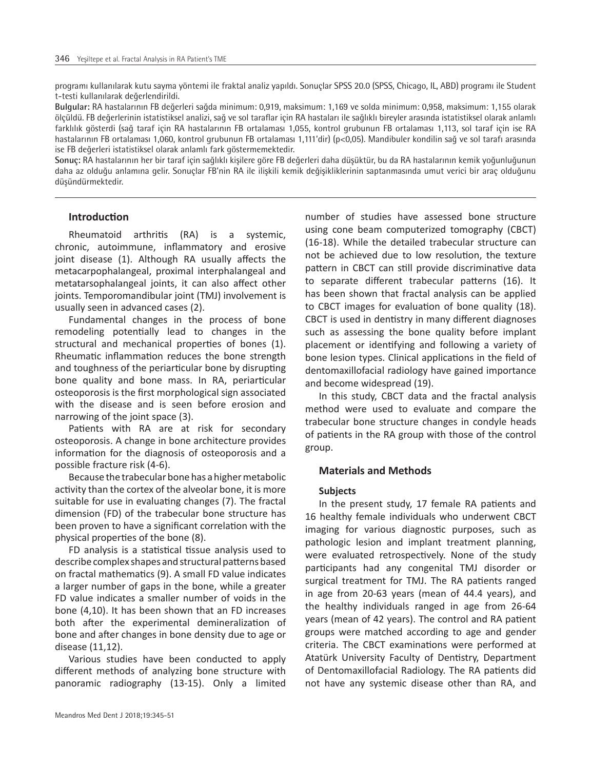programı kullanılarak kutu sayma yöntemi ile fraktal analiz yapıldı. Sonuçlar SPSS 20.0 (SPSS, Chicago, IL, ABD) programı ile Student t-testi kullanılarak değerlendirildi.

**Bulgular:** RA hastalarının FB değerleri sağda minimum: 0,919, maksimum: 1,169 ve solda minimum: 0,958, maksimum: 1,155 olarak ölçüldü. FB değerlerinin istatistiksel analizi, sağ ve sol taraflar için RA hastaları ile sağlıklı bireyler arasında istatistiksel olarak anlamlı farklılık gösterdi (sağ taraf için RA hastalarının FB ortalaması 1,055, kontrol grubunun FB ortalaması 1,113, sol taraf için ise RA hastalarının FB ortalaması 1,060, kontrol grubunun FB ortalaması 1,111'dir) (p<0,05). Mandibuler kondilin sağ ve sol tarafı arasında ise FB değerleri istatistiksel olarak anlamlı fark göstermemektedir.

**Sonuç:** RA hastalarının her bir taraf için sağlıklı kişilere göre FB değerleri daha düşüktür, bu da RA hastalarının kemik yoğunluğunun daha az olduğu anlamına gelir. Sonuçlar FB'nin RA ile ilişkili kemik değişikliklerinin saptanmasında umut verici bir araç olduğunu düşündürmektedir.

## **Introduction**

Rheumatoid arthritis (RA) is a systemic, chronic, autoimmune, inflammatory and erosive joint disease (1). Although RA usually affects the metacarpophalangeal, proximal interphalangeal and metatarsophalangeal joints, it can also affect other joints. Temporomandibular joint (TMJ) involvement is usually seen in advanced cases (2).

Fundamental changes in the process of bone remodeling potentially lead to changes in the structural and mechanical properties of bones (1). Rheumatic inflammation reduces the bone strength and toughness of the periarticular bone by disrupting bone quality and bone mass. In RA, periarticular osteoporosis is the first morphological sign associated with the disease and is seen before erosion and narrowing of the joint space (3).

Patients with RA are at risk for secondary osteoporosis. A change in bone architecture provides information for the diagnosis of osteoporosis and a possible fracture risk (4-6).

Because the trabecular bone has a higher metabolic activity than the cortex of the alveolar bone, it is more suitable for use in evaluating changes (7). The fractal dimension (FD) of the trabecular bone structure has been proven to have a significant correlation with the physical properties of the bone (8).

FD analysis is a statistical tissue analysis used to describe complex shapes and structural patterns based on fractal mathematics (9). A small FD value indicates a larger number of gaps in the bone, while a greater FD value indicates a smaller number of voids in the bone (4,10). It has been shown that an FD increases both after the experimental demineralization of bone and after changes in bone density due to age or disease (11,12).

Various studies have been conducted to apply different methods of analyzing bone structure with panoramic radiography (13-15). Only a limited

number of studies have assessed bone structure using cone beam computerized tomography (CBCT) (16-18). While the detailed trabecular structure can not be achieved due to low resolution, the texture pattern in CBCT can still provide discriminative data to separate different trabecular patterns (16). It has been shown that fractal analysis can be applied to CBCT images for evaluation of bone quality (18). CBCT is used in dentistry in many different diagnoses such as assessing the bone quality before implant placement or identifying and following a variety of bone lesion types. Clinical applications in the field of dentomaxillofacial radiology have gained importance and become widespread (19).

In this study, CBCT data and the fractal analysis method were used to evaluate and compare the trabecular bone structure changes in condyle heads of patients in the RA group with those of the control group.

#### **Materials and Methods**

#### **Subjects**

In the present study, 17 female RA patients and 16 healthy female individuals who underwent CBCT imaging for various diagnostic purposes, such as pathologic lesion and implant treatment planning, were evaluated retrospectively. None of the study participants had any congenital TMJ disorder or surgical treatment for TMJ. The RA patients ranged in age from 20-63 years (mean of 44.4 years), and the healthy individuals ranged in age from 26-64 years (mean of 42 years). The control and RA patient groups were matched according to age and gender criteria. The CBCT examinations were performed at Atatürk University Faculty of Dentistry, Department of Dentomaxillofacial Radiology. The RA patients did not have any systemic disease other than RA, and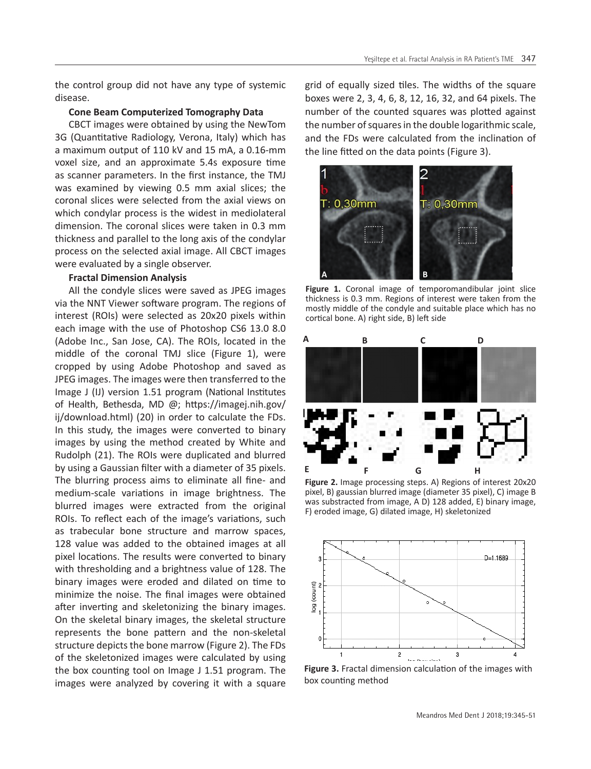the control group did not have any type of systemic disease.

#### **Cone Beam Computerized Tomography Data**

CBCT images were obtained by using the NewTom 3G (Quantitative Radiology, Verona, Italy) which has a maximum output of 110 kV and 15 mA, a 0.16-mm voxel size, and an approximate 5.4s exposure time as scanner parameters. In the first instance, the TMJ was examined by viewing 0.5 mm axial slices; the coronal slices were selected from the axial views on which condylar process is the widest in mediolateral dimension. The coronal slices were taken in 0.3 mm thickness and parallel to the long axis of the condylar process on the selected axial image. All CBCT images were evaluated by a single observer.

# **Fractal Dimension Analysis**

All the condyle slices were saved as JPEG images via the NNT Viewer software program. The regions of interest (ROIs) were selected as 20x20 pixels within each image with the use of Photoshop CS6 13.0 8.0 (Adobe Inc., San Jose, CA). The ROIs, located in the middle of the coronal TMJ slice (Figure 1), were cropped by using Adobe Photoshop and saved as JPEG images. The images were then transferred to the Image J (IJ) version 1.51 program (National Institutes of Health, Bethesda, MD @; https://imagej.nih.gov/ ij/download.html) (20) in order to calculate the FDs. In this study, the images were converted to binary images by using the method created by White and Rudolph (21). The ROIs were duplicated and blurred by using a Gaussian filter with a diameter of 35 pixels. The blurring process aims to eliminate all fine- and medium-scale variations in image brightness. The blurred images were extracted from the original ROIs. To reflect each of the image's variations, such as trabecular bone structure and marrow spaces, 128 value was added to the obtained images at all pixel locations. The results were converted to binary with thresholding and a brightness value of 128. The binary images were eroded and dilated on time to minimize the noise. The final images were obtained after inverting and skeletonizing the binary images. On the skeletal binary images, the skeletal structure represents the bone pattern and the non-skeletal structure depicts the bone marrow (Figure 2). The FDs of the skeletonized images were calculated by using the box counting tool on Image J 1.51 program. The images were analyzed by covering it with a square grid of equally sized tiles. The widths of the square boxes were 2, 3, 4, 6, 8, 12, 16, 32, and 64 pixels. The number of the counted squares was plotted against the number of squares in the double logarithmic scale, and the FDs were calculated from the inclination of the line fitted on the data points (Figure 3).



Figure 1. Coronal image of temporomandibular joint slice thickness is 0.3 mm. Regions of interest were taken from the mostly middle of the condyle and suitable place which has no cortical bone. A) right side, B) left side



**Figure 2.** Image processing steps. A) Regions of interest 20x20 pixel, B) gaussian blurred image (diameter 35 pixel), C) image B was substracted from image, A D) 128 added, E) binary image, F) eroded image, G) dilated image, H) skeletonized



**Figure 3.** Fractal dimension calculation of the images with box counting method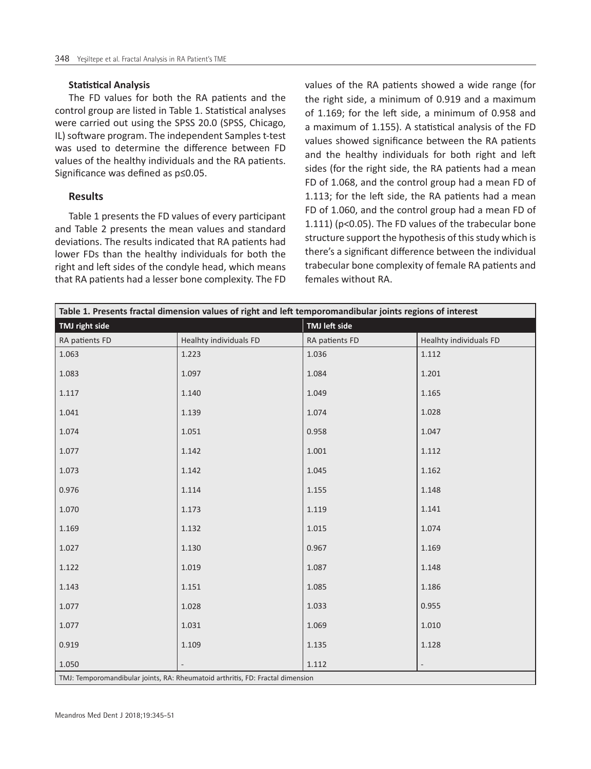#### **Statistical Analysis**

The FD values for both the RA patients and the control group are listed in Table 1. Statistical analyses were carried out using the SPSS 20.0 (SPSS, Chicago, IL) software program. The independent Samples t-test was used to determine the difference between FD values of the healthy individuals and the RA patients. Significance was defined as p≤0.05.

#### **Results**

Table 1 presents the FD values of every participant and Table 2 presents the mean values and standard deviations. The results indicated that RA patients had lower FDs than the healthy individuals for both the right and left sides of the condyle head, which means that RA patients had a lesser bone complexity. The FD values of the RA patients showed a wide range (for the right side, a minimum of 0.919 and a maximum of 1.169; for the left side, a minimum of 0.958 and a maximum of 1.155). A statistical analysis of the FD values showed significance between the RA patients and the healthy individuals for both right and left sides (for the right side, the RA patients had a mean FD of 1.068, and the control group had a mean FD of 1.113; for the left side, the RA patients had a mean FD of 1.060, and the control group had a mean FD of 1.111) (p<0.05). The FD values of the trabecular bone structure support the hypothesis of this study which is there's a significant difference between the individual trabecular bone complexity of female RA patients and females without RA.

| Table 1. Presents fractal dimension values of right and left temporomandibular joints regions of interest |                        |                |                        |  |  |  |  |
|-----------------------------------------------------------------------------------------------------------|------------------------|----------------|------------------------|--|--|--|--|
| TMJ right side                                                                                            |                        | TMJ left side  |                        |  |  |  |  |
| RA patients FD                                                                                            | Healhty individuals FD | RA patients FD | Healhty individuals FD |  |  |  |  |
| 1.063                                                                                                     | 1.223                  | 1.036          | 1.112                  |  |  |  |  |
| 1.083                                                                                                     | 1.097                  | 1.084          | 1.201                  |  |  |  |  |
| 1.117                                                                                                     | 1.140                  | 1.049          | 1.165                  |  |  |  |  |
| 1.041                                                                                                     | 1.139                  | 1.074          | 1.028                  |  |  |  |  |
| 1.074                                                                                                     | 1.051                  | 0.958          | 1.047                  |  |  |  |  |
| 1.077                                                                                                     | 1.142                  | 1.001          | 1.112                  |  |  |  |  |
| 1.073                                                                                                     | 1.142                  | 1.045          | 1.162                  |  |  |  |  |
| 0.976                                                                                                     | 1.114                  | 1.155          | 1.148                  |  |  |  |  |
| 1.070                                                                                                     | 1.173                  | 1.119          | 1.141                  |  |  |  |  |
| 1.169                                                                                                     | 1.132                  | 1.015          | 1.074                  |  |  |  |  |
| 1.027                                                                                                     | 1.130                  | 0.967          | 1.169                  |  |  |  |  |
| 1.122                                                                                                     | 1.019                  | 1.087          | 1.148                  |  |  |  |  |
| 1.143                                                                                                     | 1.151                  | 1.085          | 1.186                  |  |  |  |  |
| 1.077                                                                                                     | 1.028                  | 1.033          | 0.955                  |  |  |  |  |
| 1.077                                                                                                     | 1.031                  | 1.069          | 1.010                  |  |  |  |  |
| 0.919                                                                                                     | 1.109                  | 1.135          | 1.128                  |  |  |  |  |
| 1.050                                                                                                     |                        | 1.112          |                        |  |  |  |  |
| TMJ: Temporomandibular joints, RA: Rheumatoid arthritis, FD: Fractal dimension                            |                        |                |                        |  |  |  |  |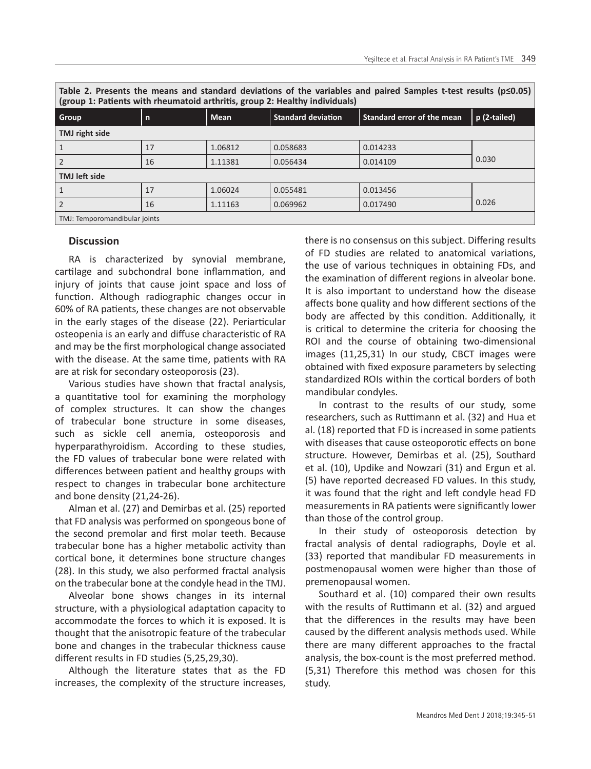**Table 2. Presents the means and standard deviations of the variables and paired Samples t-test results (p≤0.05) (group 1: Patients with rheumatoid arthritis, group 2: Healthy individuals)**

| Group                         | l n | <b>Mean</b> | Standard deviation | Standard error of the mean | p (2-tailed) |  |  |
|-------------------------------|-----|-------------|--------------------|----------------------------|--------------|--|--|
| TMJ right side                |     |             |                    |                            |              |  |  |
|                               | 17  | 1.06812     | 0.058683           | 0.014233                   |              |  |  |
| $\overline{2}$                | 16  | 1.11381     | 0.056434           | 0.014109                   | 0.030        |  |  |
| <b>TMJ</b> left side          |     |             |                    |                            |              |  |  |
| 1                             | 17  | 1.06024     | 0.055481           | 0.013456                   |              |  |  |
| $\overline{2}$                | 16  | 1.11163     | 0.069962           | 0.017490                   | 0.026        |  |  |
| TMJ: Temporomandibular joints |     |             |                    |                            |              |  |  |

#### **Discussion**

RA is characterized by synovial membrane, cartilage and subchondral bone inflammation, and injury of joints that cause joint space and loss of function. Although radiographic changes occur in 60% of RA patients, these changes are not observable in the early stages of the disease (22). Periarticular osteopenia is an early and diffuse characteristic of RA and may be the first morphological change associated with the disease. At the same time, patients with RA are at risk for secondary osteoporosis (23).

Various studies have shown that fractal analysis, a quantitative tool for examining the morphology of complex structures. It can show the changes of trabecular bone structure in some diseases, such as sickle cell anemia, osteoporosis and hyperparathyroidism. According to these studies, the FD values of trabecular bone were related with differences between patient and healthy groups with respect to changes in trabecular bone architecture and bone density (21,24-26).

Alman et al. (27) and Demirbas et al. (25) reported that FD analysis was performed on spongeous bone of the second premolar and first molar teeth. Because trabecular bone has a higher metabolic activity than cortical bone, it determines bone structure changes (28). In this study, we also performed fractal analysis on the trabecular bone at the condyle head in the TMJ.

Alveolar bone shows changes in its internal structure, with a physiological adaptation capacity to accommodate the forces to which it is exposed. It is thought that the anisotropic feature of the trabecular bone and changes in the trabecular thickness cause different results in FD studies (5,25,29,30).

Although the literature states that as the FD increases, the complexity of the structure increases,

there is no consensus on this subject. Differing results of FD studies are related to anatomical variations, the use of various techniques in obtaining FDs, and the examination of different regions in alveolar bone. It is also important to understand how the disease affects bone quality and how different sections of the body are affected by this condition. Additionally, it is critical to determine the criteria for choosing the ROI and the course of obtaining two-dimensional images (11,25,31) In our study, CBCT images were obtained with fixed exposure parameters by selecting standardized ROIs within the cortical borders of both mandibular condyles.

In contrast to the results of our study, some researchers, such as Ruttimann et al. (32) and Hua et al. (18) reported that FD is increased in some patients with diseases that cause osteoporotic effects on bone structure. However, Demirbas et al. (25), Southard et al. (10), Updike and Nowzari (31) and Ergun et al. (5) have reported decreased FD values. In this study, it was found that the right and left condyle head FD measurements in RA patients were significantly lower than those of the control group.

In their study of osteoporosis detection by fractal analysis of dental radiographs, Doyle et al. (33) reported that mandibular FD measurements in postmenopausal women were higher than those of premenopausal women.

Southard et al. (10) compared their own results with the results of Ruttimann et al. (32) and argued that the differences in the results may have been caused by the different analysis methods used. While there are many different approaches to the fractal analysis, the box-count is the most preferred method. (5,31) Therefore this method was chosen for this study.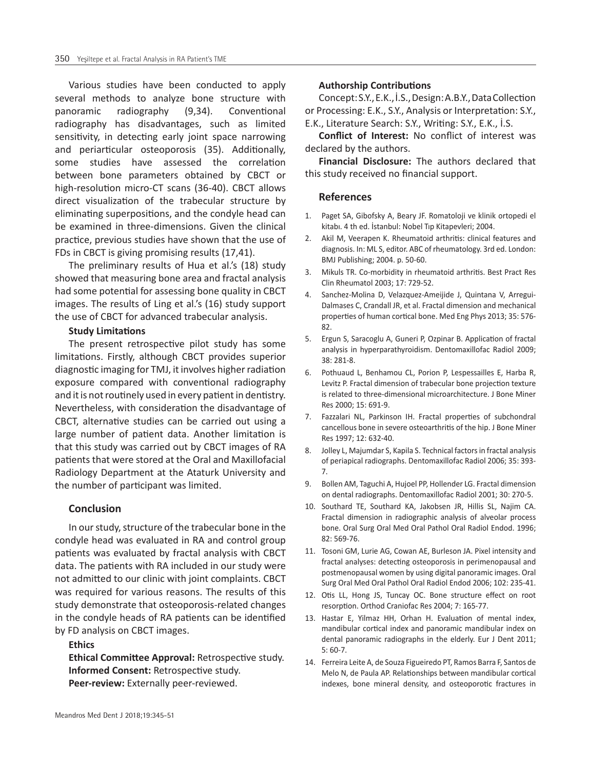Various studies have been conducted to apply several methods to analyze bone structure with panoramic radiography (9,34). Conventional radiography has disadvantages, such as limited sensitivity, in detecting early joint space narrowing and periarticular osteoporosis (35). Additionally, some studies have assessed the correlation between bone parameters obtained by CBCT or high-resolution micro-CT scans (36-40). CBCT allows direct visualization of the trabecular structure by eliminating superpositions, and the condyle head can be examined in three-dimensions. Given the clinical practice, previous studies have shown that the use of FDs in CBCT is giving promising results (17,41).

The preliminary results of Hua et al.'s (18) study showed that measuring bone area and fractal analysis had some potential for assessing bone quality in CBCT images. The results of Ling et al.'s (16) study support the use of CBCT for advanced trabecular analysis.

# **Study Limitations**

The present retrospective pilot study has some limitations. Firstly, although CBCT provides superior diagnostic imaging for TMJ, it involves higher radiation exposure compared with conventional radiography and it is not routinely used in every patient in dentistry. Nevertheless, with consideration the disadvantage of CBCT, alternative studies can be carried out using a large number of patient data. Another limitation is that this study was carried out by CBCT images of RA patients that were stored at the Oral and Maxillofacial Radiology Department at the Ataturk University and the number of participant was limited.

#### **Conclusion**

In our study, structure of the trabecular bone in the condyle head was evaluated in RA and control group patients was evaluated by fractal analysis with CBCT data. The patients with RA included in our study were not admitted to our clinic with joint complaints. CBCT was required for various reasons. The results of this study demonstrate that osteoporosis-related changes in the condyle heads of RA patients can be identified by FD analysis on CBCT images.

## **Ethics**

**Ethical Committee Approval:** Retrospective study. **Informed Consent:** Retrospective study. **Peer-review:** Externally peer-reviewed.

#### **Authorship Contributions**

Concept: S.Y., E.K., İ.S., Design: A.B.Y., Data Collection or Processing: E.K., S.Y., Analysis or Interpretation: S.Y., E.K., Literature Search: S.Y., Writing: S.Y., E.K., İ.S.

**Conflict of Interest:** No conflict of interest was declared by the authors.

**Financial Disclosure:** The authors declared that this study received no financial support.

#### **References**

- 1. Paget SA, Gibofsky A, Beary JF. Romatoloji ve klinik ortopedi el kitabı. 4 th ed. İstanbul: Nobel Tıp Kitapevleri; 2004.
- 2. Akil M, Veerapen K. Rheumatoid arthritis: clinical features and diagnosis. In: ML S, editor. ABC of rheumatology. 3rd ed. London: BMJ Publishing; 2004. p. 50-60.
- 3. Mikuls TR. Co-morbidity in rheumatoid arthritis. Best Pract Res Clin Rheumatol 2003; 17: 729-52.
- 4. Sanchez-Molina D, Velazquez-Ameijide J, Quintana V, Arregui-Dalmases C, Crandall JR, et al. Fractal dimension and mechanical properties of human cortical bone. Med Eng Phys 2013; 35: 576- 82.
- 5. Ergun S, Saracoglu A, Guneri P, Ozpinar B. Application of fractal analysis in hyperparathyroidism. Dentomaxillofac Radiol 2009; 38: 281-8.
- 6. Pothuaud L, Benhamou CL, Porion P, Lespessailles E, Harba R, Levitz P. Fractal dimension of trabecular bone projection texture is related to three-dimensional microarchitecture. J Bone Miner Res 2000; 15: 691-9.
- 7. Fazzalari NL, Parkinson IH. Fractal properties of subchondral cancellous bone in severe osteoarthritis of the hip. J Bone Miner Res 1997; 12: 632-40.
- 8. Jolley L, Majumdar S, Kapila S. Technical factors in fractal analysis of periapical radiographs. Dentomaxillofac Radiol 2006; 35: 393- 7.
- 9. Bollen AM, Taguchi A, Hujoel PP, Hollender LG. Fractal dimension on dental radiographs. Dentomaxillofac Radiol 2001; 30: 270-5.
- 10. Southard TE, Southard KA, Jakobsen JR, Hillis SL, Najim CA. Fractal dimension in radiographic analysis of alveolar process bone. Oral Surg Oral Med Oral Pathol Oral Radiol Endod. 1996; 82: 569-76.
- 11. Tosoni GM, Lurie AG, Cowan AE, Burleson JA. Pixel intensity and fractal analyses: detecting osteoporosis in perimenopausal and postmenopausal women by using digital panoramic images. Oral Surg Oral Med Oral Pathol Oral Radiol Endod 2006; 102: 235-41.
- 12. Otis LL, Hong JS, Tuncay OC. Bone structure effect on root resorption. Orthod Craniofac Res 2004; 7: 165-77.
- 13. Hastar E, Yilmaz HH, Orhan H. Evaluation of mental index, mandibular cortical index and panoramic mandibular index on dental panoramic radiographs in the elderly. Eur J Dent 2011; 5: 60-7.
- 14. Ferreira Leite A, de Souza Figueiredo PT, Ramos Barra F, Santos de Melo N, de Paula AP. Relationships between mandibular cortical indexes, bone mineral density, and osteoporotic fractures in